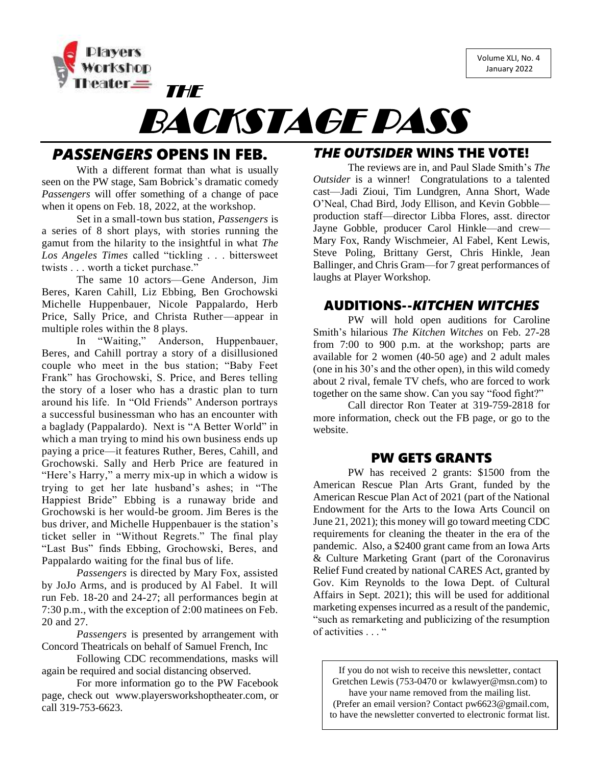Volume XLI, No. 4 January 2022



# BACKSTAGE PASS

# *PASSENGERS* OPENS IN FEB.

THE

With a different format than what is usually seen on the PW stage, Sam Bobrick's dramatic comedy *Passengers* will offer something of a change of pace when it opens on Feb. 18, 2022, at the workshop.

Set in a small-town bus station, *Passengers* is a series of 8 short plays, with stories running the gamut from the hilarity to the insightful in what *The Los Angeles Times* called "tickling . . . bittersweet twists . . . worth a ticket purchase."

The same 10 actors—Gene Anderson, Jim Beres, Karen Cahill, Liz Ebbing, Ben Grochowski Michelle Huppenbauer, Nicole Pappalardo, Herb Price, Sally Price, and Christa Ruther—appear in multiple roles within the 8 plays.

In "Waiting," Anderson, Huppenbauer, Beres, and Cahill portray a story of a disillusioned couple who meet in the bus station; "Baby Feet Frank" has Grochowski, S. Price, and Beres telling the story of a loser who has a drastic plan to turn around his life. In "Old Friends" Anderson portrays a successful businessman who has an encounter with a baglady (Pappalardo). Next is "A Better World" in which a man trying to mind his own business ends up paying a price—it features Ruther, Beres, Cahill, and Grochowski. Sally and Herb Price are featured in "Here's Harry," a merry mix-up in which a widow is trying to get her late husband's ashes; in "The Happiest Bride" Ebbing is a runaway bride and Grochowski is her would-be groom. Jim Beres is the bus driver, and Michelle Huppenbauer is the station's ticket seller in "Without Regrets." The final play "Last Bus" finds Ebbing, Grochowski, Beres, and Pappalardo waiting for the final bus of life.

*Passengers* is directed by Mary Fox, assisted by JoJo Arms, and is produced by Al Fabel. It will run Feb. 18-20 and 24-27; all performances begin at 7:30 p.m., with the exception of 2:00 matinees on Feb. 20 and 27.

*Passengers* is presented by arrangement with Concord Theatricals on behalf of Samuel French, Inc

Following CDC recommendations, masks will again be required and social distancing observed.

For more information go to the PW Facebook page, check out [www.playersworkshoptheater.com,](http://www.playersworkshoptheater.com/) or call 319-753-6623.

## *THE OUTSIDER* WINS THE VOTE!

The reviews are in, and Paul Slade Smith's *The Outsider* is a winner! Congratulations to a talented cast—Jadi Zioui, Tim Lundgren, Anna Short, Wade O'Neal, Chad Bird, Jody Ellison, and Kevin Gobble production staff—director Libba Flores, asst. director Jayne Gobble, producer Carol Hinkle—and crew— Mary Fox, Randy Wischmeier, Al Fabel, Kent Lewis, Steve Poling, Brittany Gerst, Chris Hinkle, Jean Ballinger, and Chris Gram—for 7 great performances of laughs at Player Workshop.

### AUDITIONS--*KITCHEN WITCHES*

PW will hold open auditions for Caroline Smith's hilarious *The Kitchen Witches* on Feb. 27-28 from 7:00 to 900 p.m. at the workshop; parts are available for 2 women (40-50 age) and 2 adult males (one in his 30's and the other open), in this wild comedy about 2 rival, female TV chefs, who are forced to work together on the same show. Can you say "food fight?"

Call director Ron Teater at 319-759-2818 for more information, check out the FB page, or go to the website.

## PW GETS GRANTS

PW has received 2 grants: \$1500 from the American Rescue Plan Arts Grant, funded by the American Rescue Plan Act of 2021 (part of the National Endowment for the Arts to the Iowa Arts Council on June 21, 2021); this money will go toward meeting CDC requirements for cleaning the theater in the era of the pandemic. Also, a \$2400 grant came from an Iowa Arts & Culture Marketing Grant (part of the Coronavirus Relief Fund created by national CARES Act, granted by Gov. Kim Reynolds to the Iowa Dept. of Cultural Affairs in Sept. 2021); this will be used for additional marketing expenses incurred as a result of the pandemic, "such as remarketing and publicizing of the resumption of activities . . . "

If you do not wish to receive this newsletter, contact Gretchen Lewis (753-0470 or [kwlawyer@msn.com\)](mailto:kwlawyer@msn.com) to have your name removed from the mailing list. (Prefer an email version? Contact [pw6623@gmail.com,](mailto:pw6623@gmail.com) to have the newsletter converted to electronic format list.